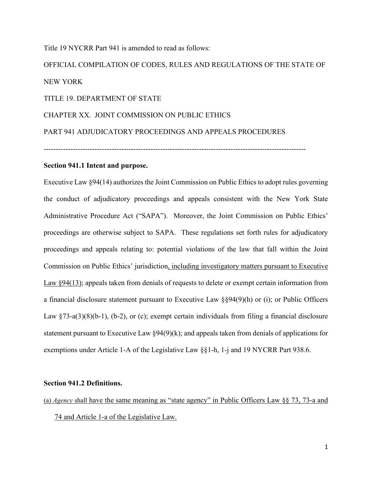Title 19 NYCRR Part 941 is amended to read as follows: OFFICIAL COMPILATION OF CODES, RULES AND REGULATIONS OF THE STATE OF NEW YORK TITLE 19. DEPARTMENT OF STATE CHAPTER XX. JOINT COMMISSION ON PUBLIC ETHICS PART 941 ADJUDICATORY PROCEEDINGS AND APPEALS PROCEDURES ------------------------------------------------------------------------------------------------------------

### **Section 941.1 Intent and purpose.**

Executive Law §94(14) authorizes the Joint Commission on Public Ethics to adopt rules governing the conduct of adjudicatory proceedings and appeals consistent with the New York State Administrative Procedure Act ("SAPA"). Moreover, the Joint Commission on Public Ethics' proceedings are otherwise subject to SAPA. These regulations set forth rules for adjudicatory proceedings and appeals relating to: potential violations of the law that fall within the Joint Commission on Public Ethics' jurisdiction, including investigatory matters pursuant to Executive Law §94(13); appeals taken from denials of requests to delete or exempt certain information from a financial disclosure statement pursuant to Executive Law §§94(9)(h) or (i); or Public Officers Law  $\S$ 73-a(3)(8)(b-1), (b-2), or (c); exempt certain individuals from filing a financial disclosure statement pursuant to Executive Law §94(9)(k); and appeals taken from denials of applications for exemptions under Article 1-A of the Legislative Law §§1-h, 1-j and 19 NYCRR Part 938.6.

#### **Section 941.2 Definitions.**

(a) *Agency* shall have the same meaning as "state agency" in Public Officers Law §§ 73, 73-a and 74 and Article 1-a of the Legislative Law.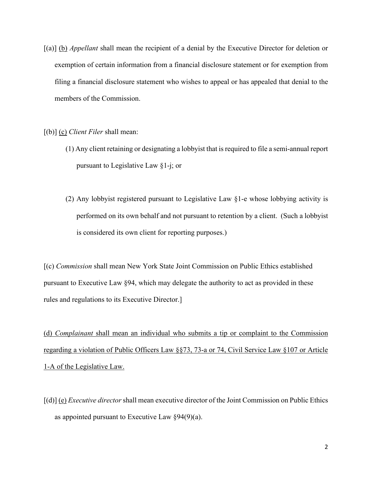[(a)] (b) *Appellant* shall mean the recipient of a denial by the Executive Director for deletion or exemption of certain information from a financial disclosure statement or for exemption from filing a financial disclosure statement who wishes to appeal or has appealed that denial to the members of the Commission.

[(b)] (c) *Client Filer* shall mean:

- (1) Any client retaining or designating a lobbyist that is required to file a semi-annual report pursuant to Legislative Law §1-j; or
- (2) Any lobbyist registered pursuant to Legislative Law §1-e whose lobbying activity is performed on its own behalf and not pursuant to retention by a client. (Such a lobbyist is considered its own client for reporting purposes.)

[(c) *Commission* shall mean New York State Joint Commission on Public Ethics established pursuant to Executive Law §94, which may delegate the authority to act as provided in these rules and regulations to its Executive Director.]

(d) *Complainant* shall mean an individual who submits a tip or complaint to the Commission regarding a violation of Public Officers Law §§73, 73-a or 74, Civil Service Law §107 or Article 1-A of the Legislative Law.

[(d)] (e) *Executive director* shall mean executive director of the Joint Commission on Public Ethics as appointed pursuant to Executive Law  $\S 94(9)(a)$ .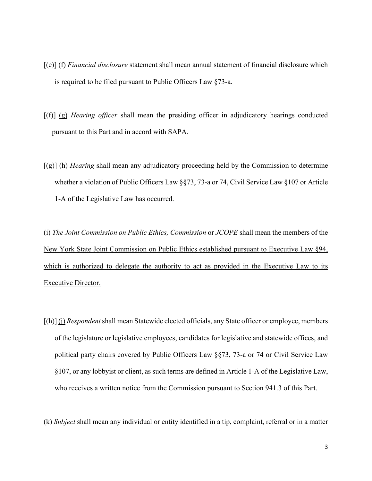- [(e)] (f) *Financial disclosure* statement shall mean annual statement of financial disclosure which is required to be filed pursuant to Public Officers Law §73-a.
- [(f)] (g) *Hearing officer* shall mean the presiding officer in adjudicatory hearings conducted pursuant to this Part and in accord with SAPA.
- [(g)] (h) *Hearing* shall mean any adjudicatory proceeding held by the Commission to determine whether a violation of Public Officers Law §§73, 73-a or 74, Civil Service Law §107 or Article 1-A of the Legislative Law has occurred.

(i) *The Joint Commission on Public Ethics, Commission* or *JCOPE* shall mean the members of the New York State Joint Commission on Public Ethics established pursuant to Executive Law §94, which is authorized to delegate the authority to act as provided in the Executive Law to its Executive Director.

[(h)] (j) *Respondent* shall mean Statewide elected officials, any State officer or employee, members of the legislature or legislative employees, candidates for legislative and statewide offices, and political party chairs covered by Public Officers Law §§73, 73-a or 74 or Civil Service Law §107, or any lobbyist or client, as such terms are defined in Article 1-A of the Legislative Law, who receives a written notice from the Commission pursuant to Section 941.3 of this Part.

(k) *Subject* shall mean any individual or entity identified in a tip, complaint, referral or in a matter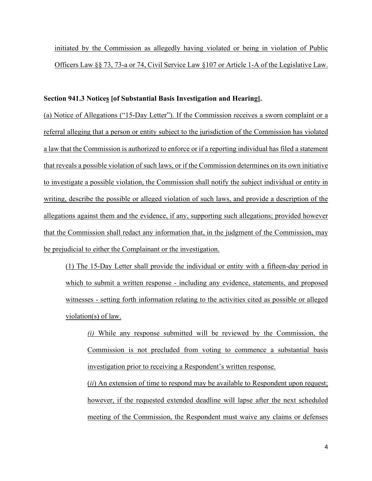initiated by the Commission as allegedly having violated or being in violation of Public Officers Law §§ 73, 73-a or 74, Civil Service Law §107 or Article 1-A of the Legislative Law.

## **Section 941.3 Notices [of Substantial Basis Investigation and Hearing].**

(a) Notice of Allegations ("15-Day Letter"). If the Commission receives a sworn complaint or a referral alleging that a person or entity subject to the jurisdiction of the Commission has violated a law that the Commission is authorized to enforce or if a reporting individual has filed a statement that reveals a possible violation of such laws, or if the Commission determines on its own initiative to investigate a possible violation, the Commission shall notify the subject individual or entity in writing, describe the possible or alleged violation of such laws, and provide a description of the allegations against them and the evidence, if any, supporting such allegations; provided however that the Commission shall redact any information that, in the judgment of the Commission, may be prejudicial to either the Complainant or the investigation.

(1) The 15-Day Letter shall provide the individual or entity with a fifteen-day period in which to submit a written response - including any evidence, statements, and proposed witnesses - setting forth information relating to the activities cited as possible or alleged violation(s) of law.

*(i)* While any response submitted will be reviewed by the Commission, the Commission is not precluded from voting to commence a substantial basis investigation prior to receiving a Respondent's written response.

(*ii*) An extension of time to respond may be available to Respondent upon request; however, if the requested extended deadline will lapse after the next scheduled meeting of the Commission, the Respondent must waive any claims or defenses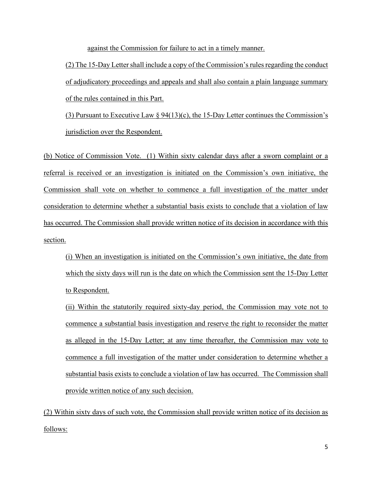against the Commission for failure to act in a timely manner.

 $(2)$  The 15-Day Letter shall include a copy of the Commission's rules regarding the conduct of adjudicatory proceedings and appeals and shall also contain a plain language summary of the rules contained in this Part.

(3) Pursuant to Executive Law  $\S 94(13)$ (c), the 15-Day Letter continues the Commission's jurisdiction over the Respondent.

(b) Notice of Commission Vote. (1) Within sixty calendar days after a sworn complaint or a referral is received or an investigation is initiated on the Commission's own initiative, the Commission shall vote on whether to commence a full investigation of the matter under consideration to determine whether a substantial basis exists to conclude that a violation of law has occurred. The Commission shall provide written notice of its decision in accordance with this section.

(i) When an investigation is initiated on the Commission's own initiative, the date from which the sixty days will run is the date on which the Commission sent the 15-Day Letter to Respondent.

(ii) Within the statutorily required sixty-day period, the Commission may vote not to commence a substantial basis investigation and reserve the right to reconsider the matter as alleged in the 15-Day Letter; at any time thereafter, the Commission may vote to commence a full investigation of the matter under consideration to determine whether a substantial basis exists to conclude a violation of law has occurred. The Commission shall provide written notice of any such decision.

(2) Within sixty days of such vote, the Commission shall provide written notice of its decision as follows: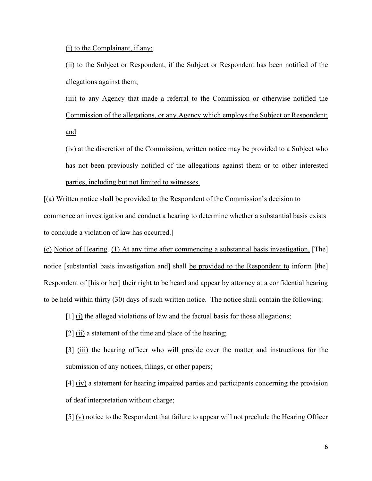(i) to the Complainant, if any;

(ii) to the Subject or Respondent, if the Subject or Respondent has been notified of the allegations against them;

(iii) to any Agency that made a referral to the Commission or otherwise notified the Commission of the allegations, or any Agency which employs the Subject or Respondent; and

(iv) at the discretion of the Commission, written notice may be provided to a Subject who has not been previously notified of the allegations against them or to other interested parties, including but not limited to witnesses.

[(a) Written notice shall be provided to the Respondent of the Commission's decision to commence an investigation and conduct a hearing to determine whether a substantial basis exists to conclude a violation of law has occurred.]

(c) Notice of Hearing. (1) At any time after commencing a substantial basis investigation, [The] notice [substantial basis investigation and] shall be provided to the Respondent to inform [the] Respondent of [his or her] their right to be heard and appear by attorney at a confidential hearing to be held within thirty (30) days of such written notice. The notice shall contain the following:

[1] (i) the alleged violations of law and the factual basis for those allegations;

[2] (ii) a statement of the time and place of the hearing;

[3] (iii) the hearing officer who will preside over the matter and instructions for the submission of any notices, filings, or other papers;

[4] (iv) a statement for hearing impaired parties and participants concerning the provision of deaf interpretation without charge;

[5] (v) notice to the Respondent that failure to appear will not preclude the Hearing Officer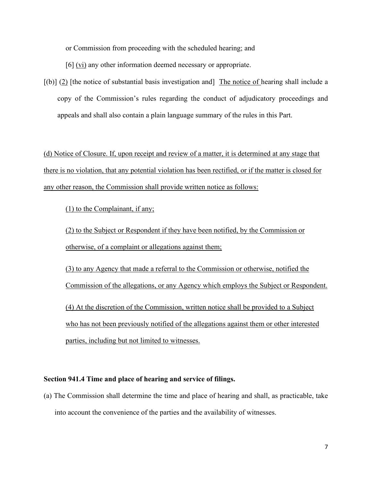or Commission from proceeding with the scheduled hearing; and

[6] (vi) any other information deemed necessary or appropriate.

 $[(b)]$  (2) [the notice of substantial basis investigation and] The notice of hearing shall include a copy of the Commission's rules regarding the conduct of adjudicatory proceedings and appeals and shall also contain a plain language summary of the rules in this Part.

(d) Notice of Closure. If, upon receipt and review of a matter, it is determined at any stage that there is no violation, that any potential violation has been rectified, or if the matter is closed for any other reason, the Commission shall provide written notice as follows:

(1) to the Complainant, if any;

(2) to the Subject or Respondent if they have been notified, by the Commission or otherwise, of a complaint or allegations against them;

(3) to any Agency that made a referral to the Commission or otherwise, notified the Commission of the allegations, or any Agency which employs the Subject or Respondent. (4) At the discretion of the Commission, written notice shall be provided to a Subject who has not been previously notified of the allegations against them or other interested parties, including but not limited to witnesses.

## **Section 941.4 Time and place of hearing and service of filings.**

(a) The Commission shall determine the time and place of hearing and shall, as practicable, take into account the convenience of the parties and the availability of witnesses.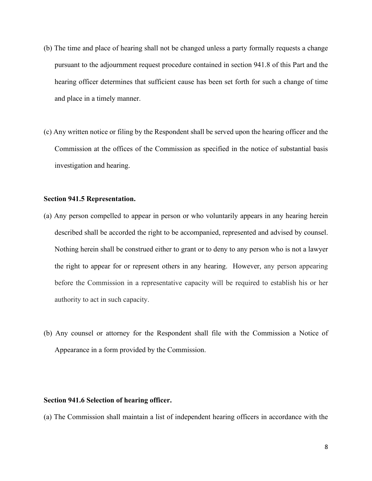- (b) The time and place of hearing shall not be changed unless a party formally requests a change pursuant to the adjournment request procedure contained in section 941.8 of this Part and the hearing officer determines that sufficient cause has been set forth for such a change of time and place in a timely manner.
- (c) Any written notice or filing by the Respondent shall be served upon the hearing officer and the Commission at the offices of the Commission as specified in the notice of substantial basis investigation and hearing.

#### **Section 941.5 Representation.**

- (a) Any person compelled to appear in person or who voluntarily appears in any hearing herein described shall be accorded the right to be accompanied, represented and advised by counsel. Nothing herein shall be construed either to grant or to deny to any person who is not a lawyer the right to appear for or represent others in any hearing. However, any person appearing before the Commission in a representative capacity will be required to establish his or her authority to act in such capacity.
- (b) Any counsel or attorney for the Respondent shall file with the Commission a Notice of Appearance in a form provided by the Commission.

## **Section 941.6 Selection of hearing officer.**

(a) The Commission shall maintain a list of independent hearing officers in accordance with the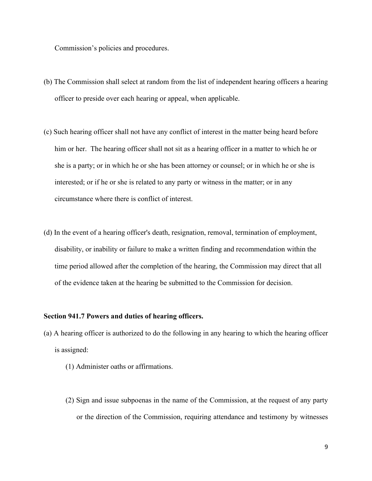Commission's policies and procedures.

- (b) The Commission shall select at random from the list of independent hearing officers a hearing officer to preside over each hearing or appeal, when applicable.
- (c) Such hearing officer shall not have any conflict of interest in the matter being heard before him or her. The hearing officer shall not sit as a hearing officer in a matter to which he or she is a party; or in which he or she has been attorney or counsel; or in which he or she is interested; or if he or she is related to any party or witness in the matter; or in any circumstance where there is conflict of interest.
- (d) In the event of a hearing officer's death, resignation, removal, termination of employment, disability, or inability or failure to make a written finding and recommendation within the time period allowed after the completion of the hearing, the Commission may direct that all of the evidence taken at the hearing be submitted to the Commission for decision.

## **Section 941.7 Powers and duties of hearing officers.**

- (a) A hearing officer is authorized to do the following in any hearing to which the hearing officer is assigned:
	- (1) Administer oaths or affirmations.
	- (2) Sign and issue subpoenas in the name of the Commission, at the request of any party or the direction of the Commission, requiring attendance and testimony by witnesses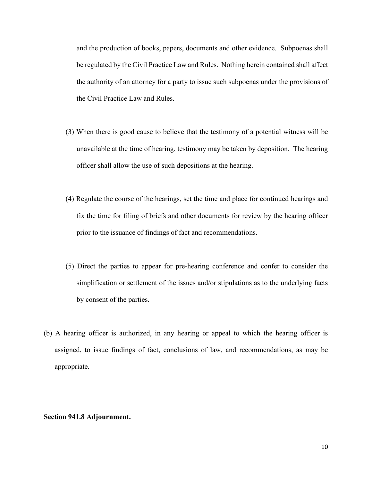and the production of books, papers, documents and other evidence. Subpoenas shall be regulated by the Civil Practice Law and Rules. Nothing herein contained shall affect the authority of an attorney for a party to issue such subpoenas under the provisions of the Civil Practice Law and Rules.

- (3) When there is good cause to believe that the testimony of a potential witness will be unavailable at the time of hearing, testimony may be taken by deposition. The hearing officer shall allow the use of such depositions at the hearing.
- (4) Regulate the course of the hearings, set the time and place for continued hearings and fix the time for filing of briefs and other documents for review by the hearing officer prior to the issuance of findings of fact and recommendations.
- (5) Direct the parties to appear for pre-hearing conference and confer to consider the simplification or settlement of the issues and/or stipulations as to the underlying facts by consent of the parties.
- (b) A hearing officer is authorized, in any hearing or appeal to which the hearing officer is assigned, to issue findings of fact, conclusions of law, and recommendations, as may be appropriate.

#### **Section 941.8 Adjournment.**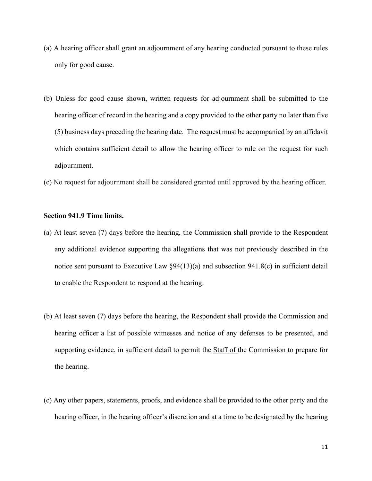- (a) A hearing officer shall grant an adjournment of any hearing conducted pursuant to these rules only for good cause.
- (b) Unless for good cause shown, written requests for adjournment shall be submitted to the hearing officer of record in the hearing and a copy provided to the other party no later than five (5) business days preceding the hearing date. The request must be accompanied by an affidavit which contains sufficient detail to allow the hearing officer to rule on the request for such adjournment.
- (c) No request for adjournment shall be considered granted until approved by the hearing officer.

### **Section 941.9 Time limits.**

- (a) At least seven (7) days before the hearing, the Commission shall provide to the Respondent any additional evidence supporting the allegations that was not previously described in the notice sent pursuant to Executive Law §94(13)(a) and subsection 941.8(c) in sufficient detail to enable the Respondent to respond at the hearing.
- (b) At least seven (7) days before the hearing, the Respondent shall provide the Commission and hearing officer a list of possible witnesses and notice of any defenses to be presented, and supporting evidence, in sufficient detail to permit the Staff of the Commission to prepare for the hearing.
- (c) Any other papers, statements, proofs, and evidence shall be provided to the other party and the hearing officer, in the hearing officer's discretion and at a time to be designated by the hearing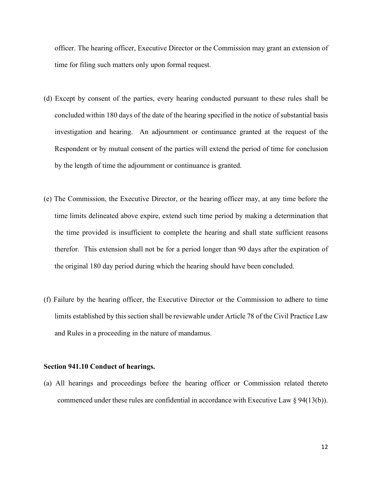officer. The hearing officer, Executive Director or the Commission may grant an extension of time for filing such matters only upon formal request.

- (d) Except by consent of the parties, every hearing conducted pursuant to these rules shall be concluded within 180 days of the date of the hearing specified in the notice of substantial basis investigation and hearing. An adjournment or continuance granted at the request of the Respondent or by mutual consent of the parties will extend the period of time for conclusion by the length of time the adjournment or continuance is granted.
- (e) The Commission, the Executive Director, or the hearing officer may, at any time before the time limits delineated above expire, extend such time period by making a determination that the time provided is insufficient to complete the hearing and shall state sufficient reasons therefor. This extension shall not be for a period longer than 90 days after the expiration of the original 180 day period during which the hearing should have been concluded.
- (f) Failure by the hearing officer, the Executive Director or the Commission to adhere to time limits established by this section shall be reviewable under Article 78 of the Civil Practice Law and Rules in a proceeding in the nature of mandamus.

#### **Section 941.10 Conduct of hearings.**

(a) All hearings and proceedings before the hearing officer or Commission related thereto commenced under these rules are confidential in accordance with Executive Law § 94(13(b)).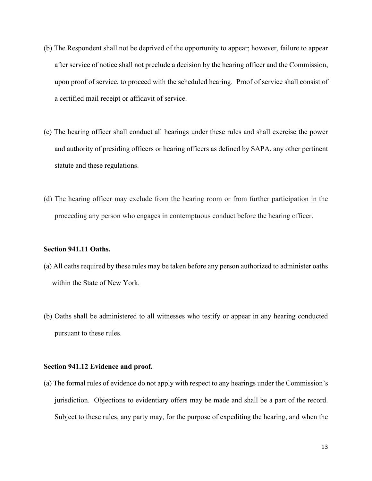- (b) The Respondent shall not be deprived of the opportunity to appear; however, failure to appear after service of notice shall not preclude a decision by the hearing officer and the Commission, upon proof of service, to proceed with the scheduled hearing. Proof of service shall consist of a certified mail receipt or affidavit of service.
- (c) The hearing officer shall conduct all hearings under these rules and shall exercise the power and authority of presiding officers or hearing officers as defined by SAPA, any other pertinent statute and these regulations.
- (d) The hearing officer may exclude from the hearing room or from further participation in the proceeding any person who engages in contemptuous conduct before the hearing officer.

## **Section 941.11 Oaths.**

- (a) All oaths required by these rules may be taken before any person authorized to administer oaths within the State of New York.
- (b) Oaths shall be administered to all witnesses who testify or appear in any hearing conducted pursuant to these rules.

#### **Section 941.12 Evidence and proof.**

(a) The formal rules of evidence do not apply with respect to any hearings under the Commission's jurisdiction. Objections to evidentiary offers may be made and shall be a part of the record. Subject to these rules, any party may, for the purpose of expediting the hearing, and when the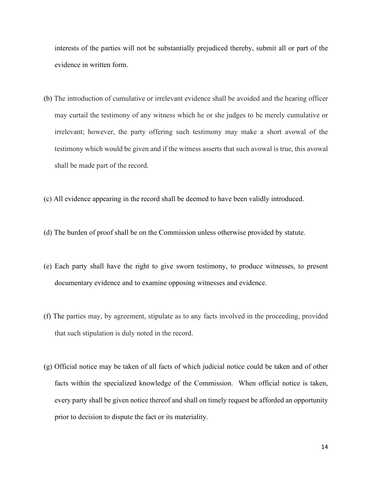interests of the parties will not be substantially prejudiced thereby, submit all or part of the evidence in written form.

- (b) The introduction of cumulative or irrelevant evidence shall be avoided and the hearing officer may curtail the testimony of any witness which he or she judges to be merely cumulative or irrelevant; however, the party offering such testimony may make a short avowal of the testimony which would be given and if the witness asserts that such avowal is true, this avowal shall be made part of the record.
- (c) All evidence appearing in the record shall be deemed to have been validly introduced.
- (d) The burden of proof shall be on the Commission unless otherwise provided by statute.
- (e) Each party shall have the right to give sworn testimony, to produce witnesses, to present documentary evidence and to examine opposing witnesses and evidence.
- (f) The parties may, by agreement, stipulate as to any facts involved in the proceeding, provided that such stipulation is duly noted in the record.
- (g) Official notice may be taken of all facts of which judicial notice could be taken and of other facts within the specialized knowledge of the Commission. When official notice is taken, every party shall be given notice thereof and shall on timely request be afforded an opportunity prior to decision to dispute the fact or its materiality.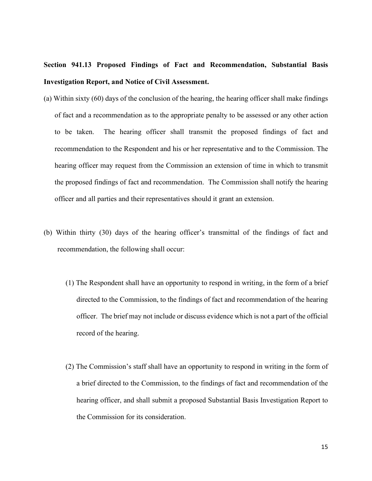# **Section 941.13 Proposed Findings of Fact and Recommendation, Substantial Basis Investigation Report, and Notice of Civil Assessment.**

- (a) Within sixty (60) days of the conclusion of the hearing, the hearing officer shall make findings of fact and a recommendation as to the appropriate penalty to be assessed or any other action to be taken. The hearing officer shall transmit the proposed findings of fact and recommendation to the Respondent and his or her representative and to the Commission. The hearing officer may request from the Commission an extension of time in which to transmit the proposed findings of fact and recommendation. The Commission shall notify the hearing officer and all parties and their representatives should it grant an extension.
- (b) Within thirty (30) days of the hearing officer's transmittal of the findings of fact and recommendation, the following shall occur:
	- (1) The Respondent shall have an opportunity to respond in writing, in the form of a brief directed to the Commission, to the findings of fact and recommendation of the hearing officer. The brief may not include or discuss evidence which is not a part of the official record of the hearing.
	- (2) The Commission's staff shall have an opportunity to respond in writing in the form of a brief directed to the Commission, to the findings of fact and recommendation of the hearing officer, and shall submit a proposed Substantial Basis Investigation Report to the Commission for its consideration.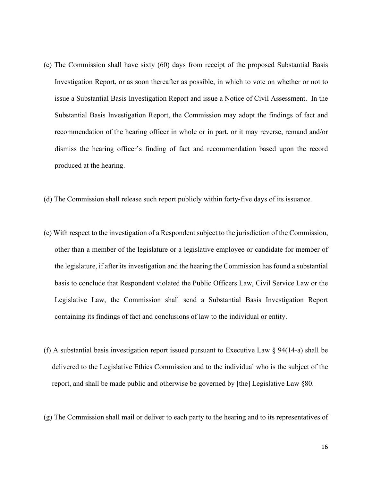- (c) The Commission shall have sixty (60) days from receipt of the proposed Substantial Basis Investigation Report, or as soon thereafter as possible, in which to vote on whether or not to issue a Substantial Basis Investigation Report and issue a Notice of Civil Assessment. In the Substantial Basis Investigation Report, the Commission may adopt the findings of fact and recommendation of the hearing officer in whole or in part, or it may reverse, remand and/or dismiss the hearing officer's finding of fact and recommendation based upon the record produced at the hearing.
- (d) The Commission shall release such report publicly within forty‐five days of its issuance.
- (e) With respect to the investigation of a Respondent subject to the jurisdiction of the Commission, other than a member of the legislature or a legislative employee or candidate for member of the legislature, if after its investigation and the hearing the Commission has found a substantial basis to conclude that Respondent violated the Public Officers Law, Civil Service Law or the Legislative Law, the Commission shall send a Substantial Basis Investigation Report containing its findings of fact and conclusions of law to the individual or entity.
- (f) A substantial basis investigation report issued pursuant to Executive Law § 94(14-a) shall be delivered to the Legislative Ethics Commission and to the individual who is the subject of the report, and shall be made public and otherwise be governed by [the] Legislative Law §80.
- (g) The Commission shall mail or deliver to each party to the hearing and to its representatives of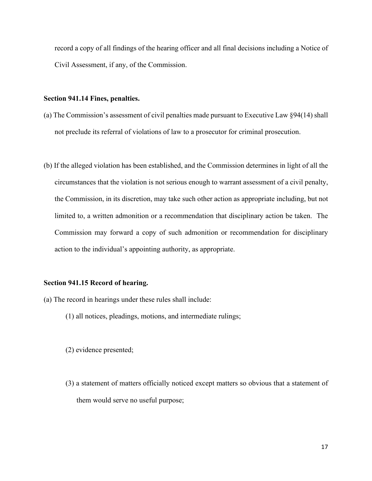record a copy of all findings of the hearing officer and all final decisions including a Notice of Civil Assessment, if any, of the Commission.

## **Section 941.14 Fines, penalties.**

- (a) The Commission's assessment of civil penalties made pursuant to Executive Law §94(14) shall not preclude its referral of violations of law to a prosecutor for criminal prosecution.
- (b) If the alleged violation has been established, and the Commission determines in light of all the circumstances that the violation is not serious enough to warrant assessment of a civil penalty, the Commission, in its discretion, may take such other action as appropriate including, but not limited to, a written admonition or a recommendation that disciplinary action be taken. The Commission may forward a copy of such admonition or recommendation for disciplinary action to the individual's appointing authority, as appropriate.

#### **Section 941.15 Record of hearing.**

- (a) The record in hearings under these rules shall include:
	- (1) all notices, pleadings, motions, and intermediate rulings;
	- (2) evidence presented;
	- (3) a statement of matters officially noticed except matters so obvious that a statement of them would serve no useful purpose;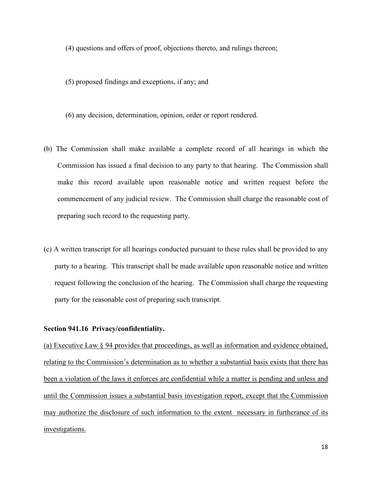(4) questions and offers of proof, objections thereto, and rulings thereon;

- (5) proposed findings and exceptions, if any; and
- (6) any decision, determination, opinion, order or report rendered.
- (b) The Commission shall make available a complete record of all hearings in which the Commission has issued a final decision to any party to that hearing. The Commission shall make this record available upon reasonable notice and written request before the commencement of any judicial review. The Commission shall charge the reasonable cost of preparing such record to the requesting party.
- (c) A written transcript for all hearings conducted pursuant to these rules shall be provided to any party to a hearing. This transcript shall be made available upon reasonable notice and written request following the conclusion of the hearing. The Commission shall charge the requesting party for the reasonable cost of preparing such transcript.

## **Section 941.16 Privacy/confidentiality.**

(a) Executive Law § 94 provides that proceedings, as well as information and evidence obtained, relating to the Commission's determination as to whether a substantial basis exists that there has been a violation of the laws it enforces are confidential while a matter is pending and unless and until the Commission issues a substantial basis investigation report, except that the Commission may authorize the disclosure of such information to the extent necessary in furtherance of its investigations.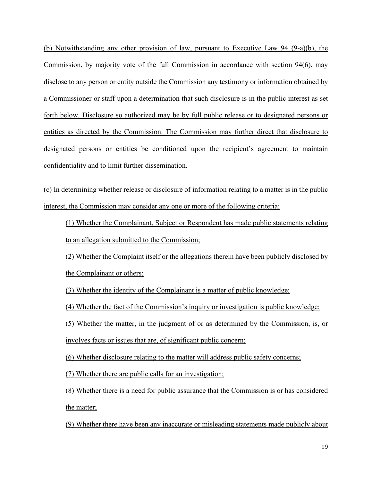(b) Notwithstanding any other provision of law, pursuant to Executive Law 94 (9-a)(b), the Commission, by majority vote of the full Commission in accordance with section 94(6), may disclose to any person or entity outside the Commission any testimony or information obtained by a Commissioner or staff upon a determination that such disclosure is in the public interest as set forth below. Disclosure so authorized may be by full public release or to designated persons or entities as directed by the Commission. The Commission may further direct that disclosure to designated persons or entities be conditioned upon the recipient's agreement to maintain confidentiality and to limit further dissemination.

(c) In determining whether release or disclosure of information relating to a matter is in the public interest, the Commission may consider any one or more of the following criteria:

(1) Whether the Complainant, Subject or Respondent has made public statements relating to an allegation submitted to the Commission;

(2) Whether the Complaint itself or the allegations therein have been publicly disclosed by the Complainant or others;

(3) Whether the identity of the Complainant is a matter of public knowledge;

(4) Whether the fact of the Commission's inquiry or investigation is public knowledge;

(5) Whether the matter, in the judgment of or as determined by the Commission, is, or

involves facts or issues that are, of significant public concern;

(6) Whether disclosure relating to the matter will address public safety concerns;

(7) Whether there are public calls for an investigation;

(8) Whether there is a need for public assurance that the Commission is or has considered the matter;

(9) Whether there have been any inaccurate or misleading statements made publicly about

19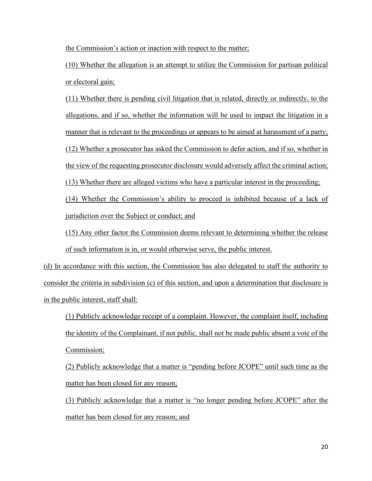the Commission's action or inaction with respect to the matter;

(10) Whether the allegation is an attempt to utilize the Commission for partisan political or electoral gain;

(11) Whether there is pending civil litigation that is related, directly or indirectly, to the allegations, and if so, whether the information will be used to impact the litigation in a manner that is relevant to the proceedings or appears to be aimed at harassment of a party; (12) Whether a prosecutor has asked the Commission to defer action, and if so, whether in the view of the requesting prosecutor disclosure would adversely affect the criminal action; (13) Whether there are alleged victims who have a particular interest in the proceeding;

(14) Whether the Commission's ability to proceed is inhibited because of a lack of jurisdiction over the Subject or conduct; and

(15) Any other factor the Commission deems relevant to determining whether the release of such information is in, or would otherwise serve, the public interest.

(d) In accordance with this section, the Commission has also delegated to staff the authority to consider the criteria in subdivision (c) of this section, and upon a determination that disclosure is in the public interest, staff shall:

(1) Publicly acknowledge receipt of a complaint. However, the complaint itself, including the identity of the Complainant, if not public, shall not be made public absent a vote of the Commission;

(2) Publicly acknowledge that a matter is "pending before JCOPE" until such time as the matter has been closed for any reason;

(3) Publicly acknowledge that a matter is "no longer pending before JCOPE" after the matter has been closed for any reason; and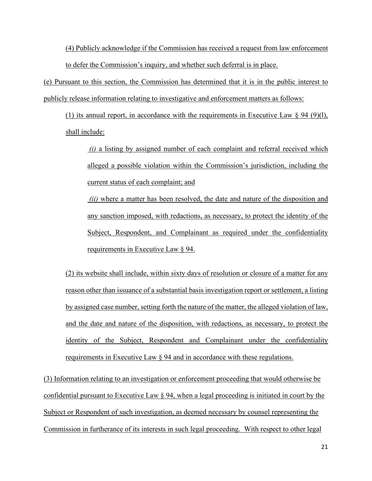(4) Publicly acknowledge if the Commission has received a request from law enforcement to defer the Commission's inquiry, and whether such deferral is in place.

(e) Pursuant to this section, the Commission has determined that it is in the public interest to publicly release information relating to investigative and enforcement matters as follows:

(1) its annual report, in accordance with the requirements in Executive Law  $\S$  94 (9)(1), shall include:

*(i)* a listing by assigned number of each complaint and referral received which alleged a possible violation within the Commission's jurisdiction, including the current status of each complaint; and

*(ii)* where a matter has been resolved, the date and nature of the disposition and any sanction imposed, with redactions, as necessary, to protect the identity of the Subject, Respondent, and Complainant as required under the confidentiality requirements in Executive Law § 94.

(2) its website shall include, within sixty days of resolution or closure of a matter for any reason other than issuance of a substantial basis investigation report or settlement, a listing by assigned case number, setting forth the nature of the matter, the alleged violation of law, and the date and nature of the disposition, with redactions, as necessary, to protect the identity of the Subject, Respondent and Complainant under the confidentiality requirements in Executive Law § 94 and in accordance with these regulations.

(3) Information relating to an investigation or enforcement proceeding that would otherwise be confidential pursuant to Executive Law § 94, when a legal proceeding is initiated in court by the Subject or Respondent of such investigation, as deemed necessary by counsel representing the Commission in furtherance of its interests in such legal proceeding. With respect to other legal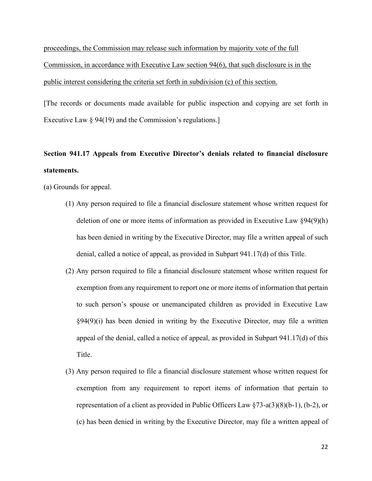proceedings, the Commission may release such information by majority vote of the full Commission, in accordance with Executive Law section 94(6), that such disclosure is in the public interest considering the criteria set forth in subdivision (c) of this section.

[The records or documents made available for public inspection and copying are set forth in Executive Law § 94(19) and the Commission's regulations.

# **Section 941.17 Appeals from Executive Director's denials related to financial disclosure statements.**

(a) Grounds for appeal.

- (1) Any person required to file a financial disclosure statement whose written request for deletion of one or more items of information as provided in Executive Law §94(9)(h) has been denied in writing by the Executive Director, may file a written appeal of such denial, called a notice of appeal, as provided in Subpart 941.17(d) of this Title.
- (2) Any person required to file a financial disclosure statement whose written request for exemption from any requirement to report one or more items of information that pertain to such person's spouse or unemancipated children as provided in Executive Law §94(9)(i) has been denied in writing by the Executive Director, may file a written appeal of the denial, called a notice of appeal, as provided in Subpart 941.17(d) of this Title.
- (3) Any person required to file a financial disclosure statement whose written request for exemption from any requirement to report items of information that pertain to representation of a client as provided in Public Officers Law §73-a(3)(8)(b-1), (b-2), or (c) has been denied in writing by the Executive Director, may file a written appeal of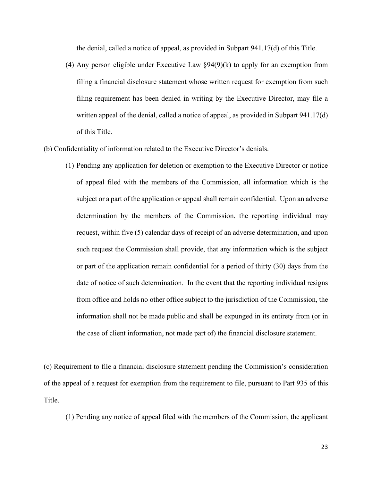the denial, called a notice of appeal, as provided in Subpart 941.17(d) of this Title.

- (4) Any person eligible under Executive Law  $\S 94(9)(k)$  to apply for an exemption from filing a financial disclosure statement whose written request for exemption from such filing requirement has been denied in writing by the Executive Director, may file a written appeal of the denial, called a notice of appeal, as provided in Subpart 941.17(d) of this Title.
- (b) Confidentiality of information related to the Executive Director's denials.
	- (1) Pending any application for deletion or exemption to the Executive Director or notice of appeal filed with the members of the Commission, all information which is the subject or a part of the application or appeal shall remain confidential. Upon an adverse determination by the members of the Commission, the reporting individual may request, within five (5) calendar days of receipt of an adverse determination, and upon such request the Commission shall provide, that any information which is the subject or part of the application remain confidential for a period of thirty (30) days from the date of notice of such determination. In the event that the reporting individual resigns from office and holds no other office subject to the jurisdiction of the Commission, the information shall not be made public and shall be expunged in its entirety from (or in the case of client information, not made part of) the financial disclosure statement.

(c) Requirement to file a financial disclosure statement pending the Commission's consideration of the appeal of a request for exemption from the requirement to file, pursuant to Part 935 of this Title.

(1) Pending any notice of appeal filed with the members of the Commission, the applicant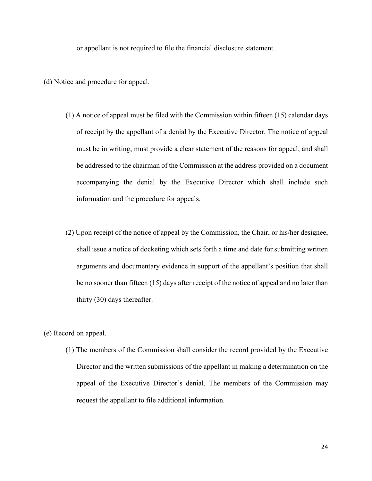or appellant is not required to file the financial disclosure statement.

(d) Notice and procedure for appeal.

- (1) A notice of appeal must be filed with the Commission within fifteen (15) calendar days of receipt by the appellant of a denial by the Executive Director. The notice of appeal must be in writing, must provide a clear statement of the reasons for appeal, and shall be addressed to the chairman of the Commission at the address provided on a document accompanying the denial by the Executive Director which shall include such information and the procedure for appeals.
- (2) Upon receipt of the notice of appeal by the Commission, the Chair, or his/her designee, shall issue a notice of docketing which sets forth a time and date for submitting written arguments and documentary evidence in support of the appellant's position that shall be no sooner than fifteen (15) days after receipt of the notice of appeal and no later than thirty (30) days thereafter.

(e) Record on appeal.

(1) The members of the Commission shall consider the record provided by the Executive Director and the written submissions of the appellant in making a determination on the appeal of the Executive Director's denial. The members of the Commission may request the appellant to file additional information.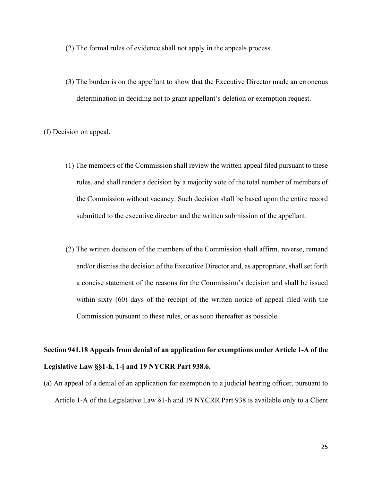(2) The formal rules of evidence shall not apply in the appeals process.

(3) The burden is on the appellant to show that the Executive Director made an erroneous determination in deciding not to grant appellant's deletion or exemption request.

(f) Decision on appeal.

- (1) The members of the Commission shall review the written appeal filed pursuant to these rules, and shall render a decision by a majority vote of the total number of members of the Commission without vacancy. Such decision shall be based upon the entire record submitted to the executive director and the written submission of the appellant.
- (2) The written decision of the members of the Commission shall affirm, reverse, remand and/or dismiss the decision of the Executive Director and, as appropriate, shall set forth a concise statement of the reasons for the Commission's decision and shall be issued within sixty (60) days of the receipt of the written notice of appeal filed with the Commission pursuant to these rules, or as soon thereafter as possible.

## **Section 941.18 Appeals from denial of an application for exemptions under Article 1-A of the Legislative Law §§1-h, 1-j and 19 NYCRR Part 938.6.**

(a) An appeal of a denial of an application for exemption to a judicial hearing officer, pursuant to Article 1-A of the Legislative Law §1-h and 19 NYCRR Part 938 is available only to a Client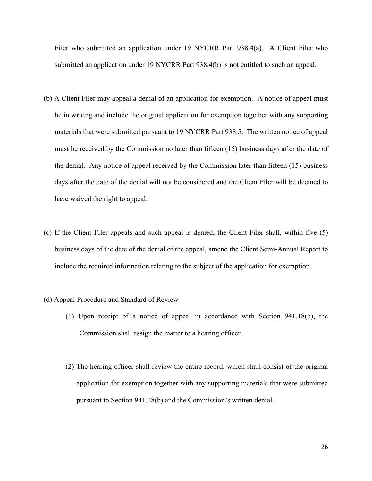Filer who submitted an application under 19 NYCRR Part 938.4(a). A Client Filer who submitted an application under 19 NYCRR Part 938.4(b) is not entitled to such an appeal.

- (b) A Client Filer may appeal a denial of an application for exemption. A notice of appeal must be in writing and include the original application for exemption together with any supporting materials that were submitted pursuant to 19 NYCRR Part 938.5. The written notice of appeal must be received by the Commission no later than fifteen (15) business days after the date of the denial. Any notice of appeal received by the Commission later than fifteen (15) business days after the date of the denial will not be considered and the Client Filer will be deemed to have waived the right to appeal.
- (c) If the Client Filer appeals and such appeal is denied, the Client Filer shall, within five (5) business days of the date of the denial of the appeal, amend the Client Semi-Annual Report to include the required information relating to the subject of the application for exemption.
- (d) Appeal Procedure and Standard of Review
	- (1) Upon receipt of a notice of appeal in accordance with Section 941.18(b), the Commission shall assign the matter to a hearing officer.
	- (2) The hearing officer shall review the entire record, which shall consist of the original application for exemption together with any supporting materials that were submitted pursuant to Section 941.18(b) and the Commission's written denial.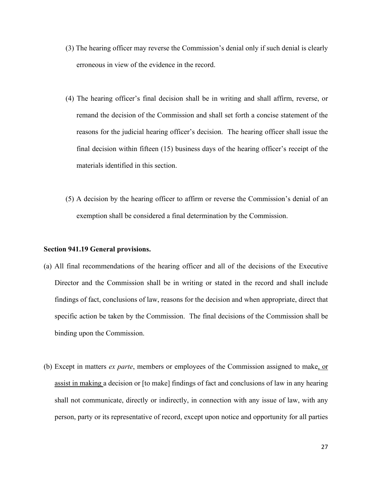- (3) The hearing officer may reverse the Commission's denial only if such denial is clearly erroneous in view of the evidence in the record.
- (4) The hearing officer's final decision shall be in writing and shall affirm, reverse, or remand the decision of the Commission and shall set forth a concise statement of the reasons for the judicial hearing officer's decision. The hearing officer shall issue the final decision within fifteen (15) business days of the hearing officer's receipt of the materials identified in this section.
- (5) A decision by the hearing officer to affirm or reverse the Commission's denial of an exemption shall be considered a final determination by the Commission.

#### **Section 941.19 General provisions.**

- (a) All final recommendations of the hearing officer and all of the decisions of the Executive Director and the Commission shall be in writing or stated in the record and shall include findings of fact, conclusions of law, reasons for the decision and when appropriate, direct that specific action be taken by the Commission. The final decisions of the Commission shall be binding upon the Commission.
- (b) Except in matters *ex parte*, members or employees of the Commission assigned to make, or assist in making a decision or [to make] findings of fact and conclusions of law in any hearing shall not communicate, directly or indirectly, in connection with any issue of law, with any person, party or its representative of record, except upon notice and opportunity for all parties